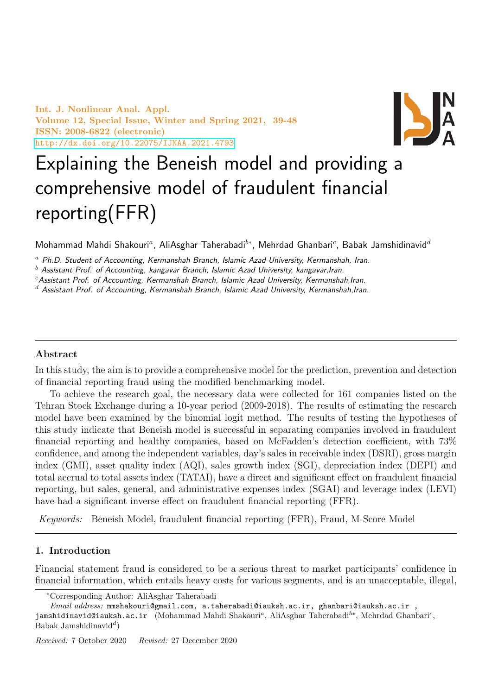Int. J. Nonlinear Anal. Appl. Volume 12, Special Issue, Winter and Spring 2021, 39-48 ISSN: 2008-6822 (electronic) <http://dx.doi.org/10.22075/IJNAA.2021.4793>



# Explaining the Beneish model and providing a comprehensive model of fraudulent financial reporting(FFR)

Mohammad Mahdi Shakouri<sup>a</sup>, AliAsghar Taherabadi<sup>b∗</sup>, Mehrdad Ghanbari<sup>c</sup>, Babak Jamshidinavid<sup>a</sup>

 $a$  Ph.D. Student of Accounting, Kermanshah Branch, Islamic Azad University, Kermanshah, Iran.

 $<sup>b</sup>$  Assistant Prof. of Accounting, kangavar Branch, Islamic Azad University, kangavar, Iran.</sup>

 $c$ Assistant Prof. of Accounting, Kermanshah Branch, Islamic Azad University, Kermanshah,Iran.

 $d$  Assistant Prof. of Accounting, Kermanshah Branch, Islamic Azad University, Kermanshah, Iran.

## Abstract

In this study, the aim is to provide a comprehensive model for the prediction, prevention and detection of financial reporting fraud using the modified benchmarking model.

To achieve the research goal, the necessary data were collected for 161 companies listed on the Tehran Stock Exchange during a 10-year period (2009-2018). The results of estimating the research model have been examined by the binomial logit method. The results of testing the hypotheses of this study indicate that Beneish model is successful in separating companies involved in fraudulent financial reporting and healthy companies, based on McFadden's detection coefficient, with 73% confidence, and among the independent variables, day's sales in receivable index (DSRI), gross margin index (GMI), asset quality index (AQI), sales growth index (SGI), depreciation index (DEPI) and total accrual to total assets index (TATAI), have a direct and significant effect on fraudulent financial reporting, but sales, general, and administrative expenses index (SGAI) and leverage index (LEVI) have had a significant inverse effect on fraudulent financial reporting (FFR).

Keywords: Beneish Model, fraudulent financial reporting (FFR), Fraud, M-Score Model

## 1. Introduction

Financial statement fraud is considered to be a serious threat to market participants' confidence in financial information, which entails heavy costs for various segments, and is an unacceptable, illegal,

jamshidinavid@iauksh.ac.ir (Mohammad Mahdi Shakouri<sup>a</sup>, AliAsghar Taherabadi $^{b*}$ , Mehrdad Ghanbari $^c$ , Babak Jamshidinavid<sup>d</sup>)

<sup>∗</sup>Corresponding Author: AliAsghar Taherabadi

 $\normalsize \frac{1}{1}$  address: mmshakouri@gmail.com, a.taherabadi@iauksh.ac.ir, ghanbari@iauksh.ac.ir,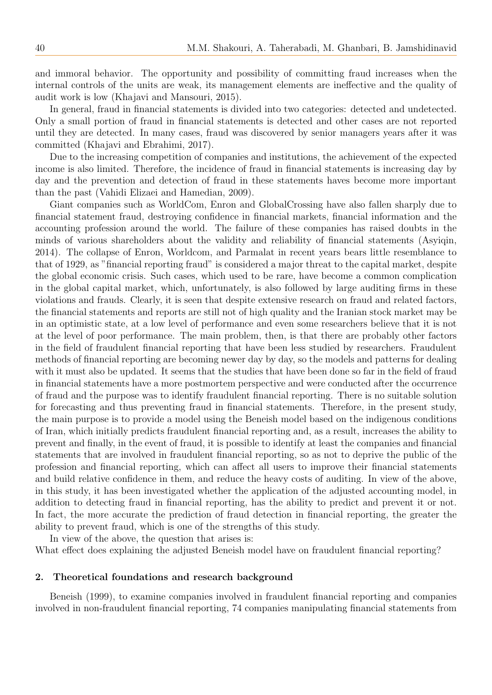and immoral behavior. The opportunity and possibility of committing fraud increases when the internal controls of the units are weak, its management elements are ineffective and the quality of audit work is low (Khajavi and Mansouri, 2015).

In general, fraud in financial statements is divided into two categories: detected and undetected. Only a small portion of fraud in financial statements is detected and other cases are not reported until they are detected. In many cases, fraud was discovered by senior managers years after it was committed (Khajavi and Ebrahimi, 2017).

Due to the increasing competition of companies and institutions, the achievement of the expected income is also limited. Therefore, the incidence of fraud in financial statements is increasing day by day and the prevention and detection of fraud in these statements haves become more important than the past (Vahidi Elizaei and Hamedian, 2009).

Giant companies such as WorldCom, Enron and GlobalCrossing have also fallen sharply due to financial statement fraud, destroying confidence in financial markets, financial information and the accounting profession around the world. The failure of these companies has raised doubts in the minds of various shareholders about the validity and reliability of financial statements (Asyiqin, 2014). The collapse of Enron, Worldcom, and Parmalat in recent years bears little resemblance to that of 1929, as "financial reporting fraud" is considered a major threat to the capital market, despite the global economic crisis. Such cases, which used to be rare, have become a common complication in the global capital market, which, unfortunately, is also followed by large auditing firms in these violations and frauds. Clearly, it is seen that despite extensive research on fraud and related factors, the financial statements and reports are still not of high quality and the Iranian stock market may be in an optimistic state, at a low level of performance and even some researchers believe that it is not at the level of poor performance. The main problem, then, is that there are probably other factors in the field of fraudulent financial reporting that have been less studied by researchers. Fraudulent methods of financial reporting are becoming newer day by day, so the models and patterns for dealing with it must also be updated. It seems that the studies that have been done so far in the field of fraud in financial statements have a more postmortem perspective and were conducted after the occurrence of fraud and the purpose was to identify fraudulent financial reporting. There is no suitable solution for forecasting and thus preventing fraud in financial statements. Therefore, in the present study, the main purpose is to provide a model using the Beneish model based on the indigenous conditions of Iran, which initially predicts fraudulent financial reporting and, as a result, increases the ability to prevent and finally, in the event of fraud, it is possible to identify at least the companies and financial statements that are involved in fraudulent financial reporting, so as not to deprive the public of the profession and financial reporting, which can affect all users to improve their financial statements and build relative confidence in them, and reduce the heavy costs of auditing. In view of the above, in this study, it has been investigated whether the application of the adjusted accounting model, in addition to detecting fraud in financial reporting, has the ability to predict and prevent it or not. In fact, the more accurate the prediction of fraud detection in financial reporting, the greater the ability to prevent fraud, which is one of the strengths of this study.

In view of the above, the question that arises is: What effect does explaining the adjusted Beneish model have on fraudulent financial reporting?

#### 2. Theoretical foundations and research background

Beneish (1999), to examine companies involved in fraudulent financial reporting and companies involved in non-fraudulent financial reporting, 74 companies manipulating financial statements from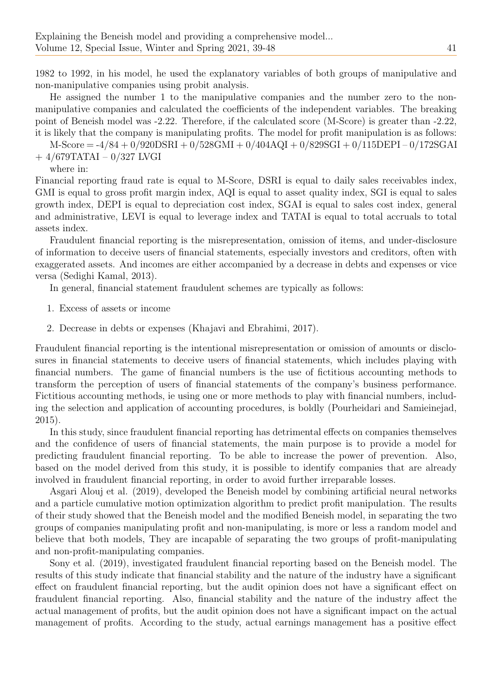1982 to 1992, in his model, he used the explanatory variables of both groups of manipulative and non-manipulative companies using probit analysis.

He assigned the number 1 to the manipulative companies and the number zero to the nonmanipulative companies and calculated the coefficients of the independent variables. The breaking point of Beneish model was -2.22. Therefore, if the calculated score (M-Score) is greater than -2.22, it is likely that the company is manipulating profits. The model for profit manipulation is as follows:

 $M-Score = -4/84 + 0/920DSRI + 0/528GMI + 0/404AQI + 0/829SGI + 0/115DEPI - 0/172SGAI$ 

+ 4/679TATAI – 0/327 LVGI where in:

Financial reporting fraud rate is equal to M-Score, DSRI is equal to daily sales receivables index, GMI is equal to gross profit margin index, AQI is equal to asset quality index, SGI is equal to sales growth index, DEPI is equal to depreciation cost index, SGAI is equal to sales cost index, general and administrative, LEVI is equal to leverage index and TATAI is equal to total accruals to total assets index.

Fraudulent financial reporting is the misrepresentation, omission of items, and under-disclosure of information to deceive users of financial statements, especially investors and creditors, often with exaggerated assets. And incomes are either accompanied by a decrease in debts and expenses or vice versa (Sedighi Kamal, 2013).

In general, financial statement fraudulent schemes are typically as follows:

- 1. Excess of assets or income
- 2. Decrease in debts or expenses (Khajavi and Ebrahimi, 2017).

Fraudulent financial reporting is the intentional misrepresentation or omission of amounts or disclosures in financial statements to deceive users of financial statements, which includes playing with financial numbers. The game of financial numbers is the use of fictitious accounting methods to transform the perception of users of financial statements of the company's business performance. Fictitious accounting methods, ie using one or more methods to play with financial numbers, including the selection and application of accounting procedures, is boldly (Pourheidari and Samieinejad, 2015).

In this study, since fraudulent financial reporting has detrimental effects on companies themselves and the confidence of users of financial statements, the main purpose is to provide a model for predicting fraudulent financial reporting. To be able to increase the power of prevention. Also, based on the model derived from this study, it is possible to identify companies that are already involved in fraudulent financial reporting, in order to avoid further irreparable losses.

Asgari Alouj et al. (2019), developed the Beneish model by combining artificial neural networks and a particle cumulative motion optimization algorithm to predict profit manipulation. The results of their study showed that the Beneish model and the modified Beneish model, in separating the two groups of companies manipulating profit and non-manipulating, is more or less a random model and believe that both models, They are incapable of separating the two groups of profit-manipulating and non-profit-manipulating companies.

Sony et al. (2019), investigated fraudulent financial reporting based on the Beneish model. The results of this study indicate that financial stability and the nature of the industry have a significant effect on fraudulent financial reporting, but the audit opinion does not have a significant effect on fraudulent financial reporting. Also, financial stability and the nature of the industry affect the actual management of profits, but the audit opinion does not have a significant impact on the actual management of profits. According to the study, actual earnings management has a positive effect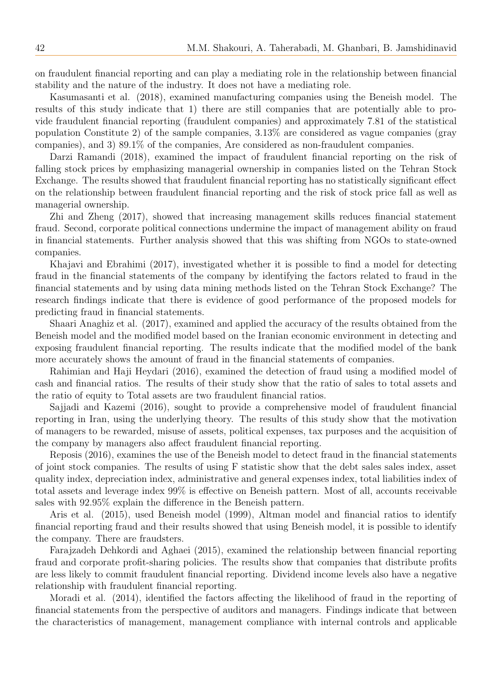on fraudulent financial reporting and can play a mediating role in the relationship between financial stability and the nature of the industry. It does not have a mediating role.

Kasumasanti et al. (2018), examined manufacturing companies using the Beneish model. The results of this study indicate that 1) there are still companies that are potentially able to provide fraudulent financial reporting (fraudulent companies) and approximately 7.81 of the statistical population Constitute 2) of the sample companies, 3.13% are considered as vague companies (gray companies), and 3) 89.1% of the companies, Are considered as non-fraudulent companies.

Darzi Ramandi (2018), examined the impact of fraudulent financial reporting on the risk of falling stock prices by emphasizing managerial ownership in companies listed on the Tehran Stock Exchange. The results showed that fraudulent financial reporting has no statistically significant effect on the relationship between fraudulent financial reporting and the risk of stock price fall as well as managerial ownership.

Zhi and Zheng (2017), showed that increasing management skills reduces financial statement fraud. Second, corporate political connections undermine the impact of management ability on fraud in financial statements. Further analysis showed that this was shifting from NGOs to state-owned companies.

Khajavi and Ebrahimi (2017), investigated whether it is possible to find a model for detecting fraud in the financial statements of the company by identifying the factors related to fraud in the financial statements and by using data mining methods listed on the Tehran Stock Exchange? The research findings indicate that there is evidence of good performance of the proposed models for predicting fraud in financial statements.

Shaari Anaghiz et al. (2017), examined and applied the accuracy of the results obtained from the Beneish model and the modified model based on the Iranian economic environment in detecting and exposing fraudulent financial reporting. The results indicate that the modified model of the bank more accurately shows the amount of fraud in the financial statements of companies.

Rahimian and Haji Heydari (2016), examined the detection of fraud using a modified model of cash and financial ratios. The results of their study show that the ratio of sales to total assets and the ratio of equity to Total assets are two fraudulent financial ratios.

Sajjadi and Kazemi (2016), sought to provide a comprehensive model of fraudulent financial reporting in Iran, using the underlying theory. The results of this study show that the motivation of managers to be rewarded, misuse of assets, political expenses, tax purposes and the acquisition of the company by managers also affect fraudulent financial reporting.

Reposis (2016), examines the use of the Beneish model to detect fraud in the financial statements of joint stock companies. The results of using F statistic show that the debt sales sales index, asset quality index, depreciation index, administrative and general expenses index, total liabilities index of total assets and leverage index 99% is effective on Beneish pattern. Most of all, accounts receivable sales with 92.95% explain the difference in the Beneish pattern.

Aris et al. (2015), used Beneish model (1999), Altman model and financial ratios to identify financial reporting fraud and their results showed that using Beneish model, it is possible to identify the company. There are fraudsters.

Farajzadeh Dehkordi and Aghaei (2015), examined the relationship between financial reporting fraud and corporate profit-sharing policies. The results show that companies that distribute profits are less likely to commit fraudulent financial reporting. Dividend income levels also have a negative relationship with fraudulent financial reporting.

Moradi et al. (2014), identified the factors affecting the likelihood of fraud in the reporting of financial statements from the perspective of auditors and managers. Findings indicate that between the characteristics of management, management compliance with internal controls and applicable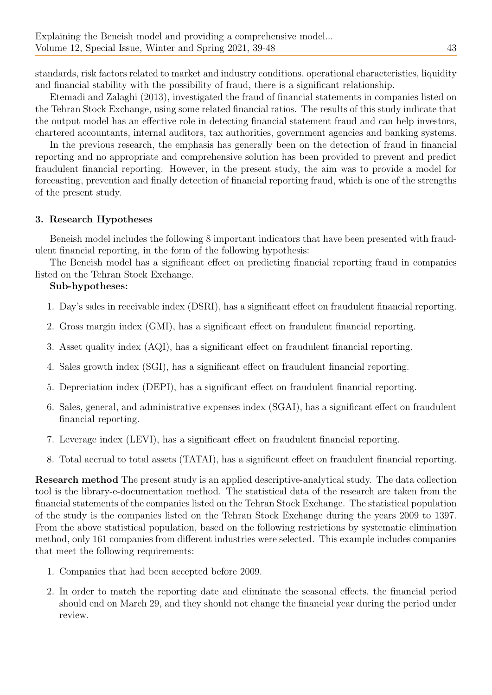standards, risk factors related to market and industry conditions, operational characteristics, liquidity and financial stability with the possibility of fraud, there is a significant relationship.

Etemadi and Zalaghi (2013), investigated the fraud of financial statements in companies listed on the Tehran Stock Exchange, using some related financial ratios. The results of this study indicate that the output model has an effective role in detecting financial statement fraud and can help investors, chartered accountants, internal auditors, tax authorities, government agencies and banking systems.

In the previous research, the emphasis has generally been on the detection of fraud in financial reporting and no appropriate and comprehensive solution has been provided to prevent and predict fraudulent financial reporting. However, in the present study, the aim was to provide a model for forecasting, prevention and finally detection of financial reporting fraud, which is one of the strengths of the present study.

## 3. Research Hypotheses

Beneish model includes the following 8 important indicators that have been presented with fraudulent financial reporting, in the form of the following hypothesis:

The Beneish model has a significant effect on predicting financial reporting fraud in companies listed on the Tehran Stock Exchange.

#### Sub-hypotheses:

- 1. Day's sales in receivable index (DSRI), has a significant effect on fraudulent financial reporting.
- 2. Gross margin index (GMI), has a significant effect on fraudulent financial reporting.
- 3. Asset quality index (AQI), has a significant effect on fraudulent financial reporting.
- 4. Sales growth index (SGI), has a significant effect on fraudulent financial reporting.
- 5. Depreciation index (DEPI), has a significant effect on fraudulent financial reporting.
- 6. Sales, general, and administrative expenses index (SGAI), has a significant effect on fraudulent financial reporting.
- 7. Leverage index (LEVI), has a significant effect on fraudulent financial reporting.
- 8. Total accrual to total assets (TATAI), has a significant effect on fraudulent financial reporting.

Research method The present study is an applied descriptive-analytical study. The data collection tool is the library-e-documentation method. The statistical data of the research are taken from the financial statements of the companies listed on the Tehran Stock Exchange. The statistical population of the study is the companies listed on the Tehran Stock Exchange during the years 2009 to 1397. From the above statistical population, based on the following restrictions by systematic elimination method, only 161 companies from different industries were selected. This example includes companies that meet the following requirements:

- 1. Companies that had been accepted before 2009.
- 2. In order to match the reporting date and eliminate the seasonal effects, the financial period should end on March 29, and they should not change the financial year during the period under review.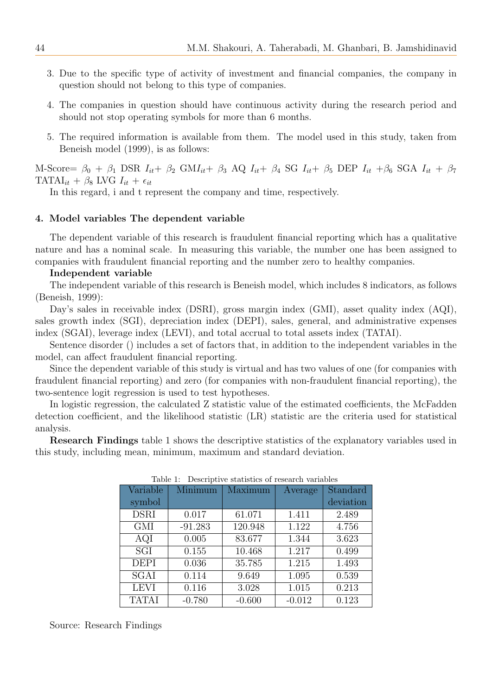- 3. Due to the specific type of activity of investment and financial companies, the company in question should not belong to this type of companies.
- 4. The companies in question should have continuous activity during the research period and should not stop operating symbols for more than 6 months.
- 5. The required information is available from them. The model used in this study, taken from Beneish model (1999), is as follows:

M-Score=  $\beta_0$  +  $\beta_1$  DSR  $I_{it}$ +  $\beta_2$  GM $I_{it}$ +  $\beta_3$  AQ  $I_{it}$ +  $\beta_4$  SG  $I_{it}$ +  $\beta_5$  DEP  $I_{it}$ + $\beta_6$  SGA  $I_{it}$ +  $\beta_7$ TATAI<sub>it</sub> +  $\beta_8$  LVG  $I_{it}$  +  $\epsilon_{it}$ 

In this regard, i and t represent the company and time, respectively.

#### 4. Model variables The dependent variable

The dependent variable of this research is fraudulent financial reporting which has a qualitative nature and has a nominal scale. In measuring this variable, the number one has been assigned to companies with fraudulent financial reporting and the number zero to healthy companies.

#### Independent variable

The independent variable of this research is Beneish model, which includes 8 indicators, as follows (Beneish, 1999):

Day's sales in receivable index (DSRI), gross margin index (GMI), asset quality index (AQI), sales growth index (SGI), depreciation index (DEPI), sales, general, and administrative expenses index (SGAI), leverage index (LEVI), and total accrual to total assets index (TATAI).

Sentence disorder () includes a set of factors that, in addition to the independent variables in the model, can affect fraudulent financial reporting.

Since the dependent variable of this study is virtual and has two values of one (for companies with fraudulent financial reporting) and zero (for companies with non-fraudulent financial reporting), the two-sentence logit regression is used to test hypotheses.

In logistic regression, the calculated Z statistic value of the estimated coefficients, the McFadden detection coefficient, and the likelihood statistic (LR) statistic are the criteria used for statistical analysis.

Research Findings table 1 shows the descriptive statistics of the explanatory variables used in this study, including mean, minimum, maximum and standard deviation.

| Variable     | Minimum   | Maximum  | Average  | Standard  |
|--------------|-----------|----------|----------|-----------|
| symbol       |           |          |          | deviation |
| <b>DSRI</b>  | 0.017     | 61.071   | 1.411    | 2.489     |
| <b>GMI</b>   | $-91.283$ | 120.948  | 1.122    | 4.756     |
| AQI          | 0.005     | 83.677   | 1.344    | 3.623     |
| SGI          | 0.155     | 10.468   | 1.217    | 0.499     |
| <b>DEPI</b>  | 0.036     | 35.785   | 1.215    | 1.493     |
| <b>SGAI</b>  | 0.114     | 9.649    | 1.095    | 0.539     |
| <b>LEVI</b>  | 0.116     | 3.028    | 1.015    | 0.213     |
| <b>TATAI</b> | $-0.780$  | $-0.600$ | $-0.012$ | 0.123     |

Table 1: Descriptive statistics of research variables

Source: Research Findings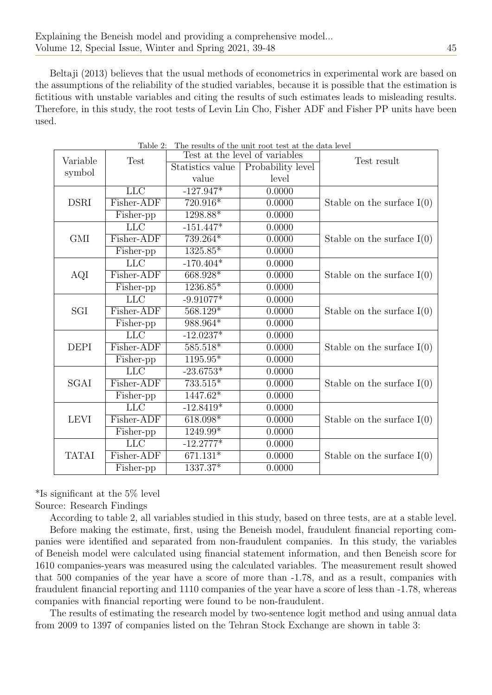Beltaji (2013) believes that the usual methods of econometrics in experimental work are based on the assumptions of the reliability of the studied variables, because it is possible that the estimation is fictitious with unstable variables and citing the results of such estimates leads to misleading results. Therefore, in this study, the root tests of Levin Lin Cho, Fisher ADF and Fisher PP units have been used.

| Variable     | ravic 4.<br><b>Test</b>        | The results of the unit foot test at the data level<br>Test at the level of variables |                   | Test result                  |  |
|--------------|--------------------------------|---------------------------------------------------------------------------------------|-------------------|------------------------------|--|
|              |                                | Statistics value                                                                      | Probability level |                              |  |
| symbol       |                                | value                                                                                 | level             |                              |  |
| <b>DSRI</b>  | LLC                            | $-127.947*$                                                                           | 0.0000            |                              |  |
|              | Fisher-ADF                     | 720.916*                                                                              | 0.0000            | Stable on the surface $I(0)$ |  |
|              | Fisher-pp                      | 1298.88*                                                                              | 0.0000            |                              |  |
| <b>GMI</b>   | LLC                            | $-151.447*$                                                                           | 0.0000            | Stable on the surface $I(0)$ |  |
|              | Fisher-ADF                     | 739.264*                                                                              | 0.0000            |                              |  |
|              | $\overline{\text{F}}$ isher-pp | $1325.85*$                                                                            | 0.0000            |                              |  |
| AQI          | <b>LLC</b>                     | $-170.404*$                                                                           | 0.0000            | Stable on the surface $I(0)$ |  |
|              | Fisher-ADF                     | 668.928*                                                                              | 0.0000            |                              |  |
|              | Fisher-pp                      | 1236.85*                                                                              | 0.0000            |                              |  |
| SGI          | LLC                            | $-9.91077*$                                                                           | 0.0000            |                              |  |
|              | Fisher-ADF                     | $568.129*$                                                                            | 0.0000            | Stable on the surface $I(0)$ |  |
|              | $\overline{\text{F}}$ isher-pp | 988.964*                                                                              | 0.0000            |                              |  |
| <b>DEPI</b>  | <b>LLC</b>                     | $-12.0237*$                                                                           | 0.0000            | Stable on the surface $I(0)$ |  |
|              | Fisher-ADF                     | $585.518*$                                                                            | 0.0000            |                              |  |
|              | $\bar{\text{F}}$ isher-pp      | $1195.95*$                                                                            | 0.0000            |                              |  |
| SGAI         | <b>LLC</b>                     | $-23.6753*$                                                                           | 0.0000            |                              |  |
|              | Fisher-ADF                     | $733.515*$                                                                            | 0.0000            | Stable on the surface $I(0)$ |  |
|              | Fisher-pp                      | $1447.62*$                                                                            | 0.0000            |                              |  |
| <b>LEVI</b>  | LLC                            | $-12.8419*$                                                                           | 0.0000            | Stable on the surface $I(0)$ |  |
|              | Fisher-ADF                     | $618.098*$                                                                            | 0.0000            |                              |  |
|              | Fisher-pp                      | 1249.99*                                                                              | 0.0000            |                              |  |
| <b>TATAI</b> | <b>LLC</b>                     | $-12.2777*$                                                                           | 0.0000            |                              |  |
|              | Fisher-ADF                     | $671.131*$                                                                            | 0.0000            | Stable on the surface $I(0)$ |  |
|              | Fisher-pp                      | 1337.37*                                                                              | 0.0000            |                              |  |

Table 2: The results of the unit root test at the data level

\*Is significant at the 5% level

Source: Research Findings

According to table 2, all variables studied in this study, based on three tests, are at a stable level. Before making the estimate, first, using the Beneish model, fraudulent financial reporting companies were identified and separated from non-fraudulent companies. In this study, the variables of Beneish model were calculated using financial statement information, and then Beneish score for 1610 companies-years was measured using the calculated variables. The measurement result showed that 500 companies of the year have a score of more than -1.78, and as a result, companies with fraudulent financial reporting and 1110 companies of the year have a score of less than -1.78, whereas companies with financial reporting were found to be non-fraudulent.

The results of estimating the research model by two-sentence logit method and using annual data from 2009 to 1397 of companies listed on the Tehran Stock Exchange are shown in table 3: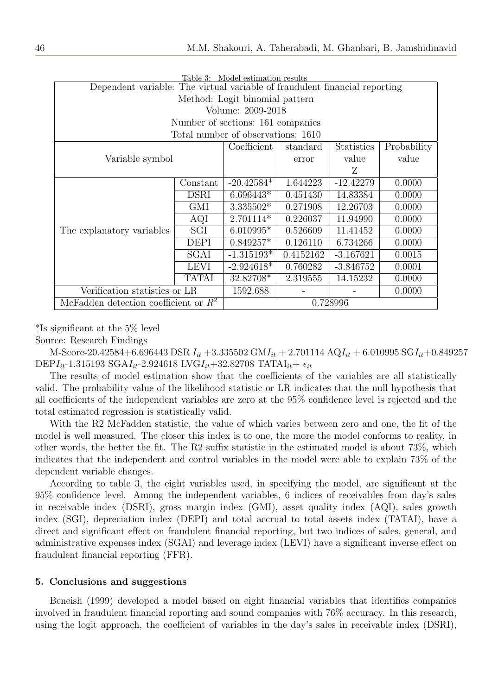| Table 3: Model estimation results                                          |                  |              |                   |             |        |  |  |  |  |
|----------------------------------------------------------------------------|------------------|--------------|-------------------|-------------|--------|--|--|--|--|
| Dependent variable: The virtual variable of fraudulent financial reporting |                  |              |                   |             |        |  |  |  |  |
| Method: Logit binomial pattern                                             |                  |              |                   |             |        |  |  |  |  |
| Volume: 2009-2018                                                          |                  |              |                   |             |        |  |  |  |  |
| Number of sections: 161 companies                                          |                  |              |                   |             |        |  |  |  |  |
| Total number of observations: 1610                                         |                  |              |                   |             |        |  |  |  |  |
|                                                                            | Coefficient      | standard     | <b>Statistics</b> | Probability |        |  |  |  |  |
| Variable symbol                                                            |                  | error        | value             | value       |        |  |  |  |  |
|                                                                            |                  |              | Z                 |             |        |  |  |  |  |
|                                                                            | Constant         | $-20.42584*$ | 1.644223          | $-12.42279$ | 0.0000 |  |  |  |  |
|                                                                            | <b>DSRI</b>      | $6.696443*$  | 0.451430          | 14.83384    | 0.0000 |  |  |  |  |
|                                                                            | <b>GMI</b>       | $3.335502*$  | 0.271908          | 12.26703    | 0.0000 |  |  |  |  |
|                                                                            | $\overline{AQI}$ | 2.701114*    | 0.226037          | 11.94990    | 0.0000 |  |  |  |  |
| The explanatory variables                                                  | SGI              | $6.010995*$  | 0.526609          | 11.41452    | 0.0000 |  |  |  |  |
|                                                                            | DEPI             | $0.849257*$  | 0.126110          | 6.734266    | 0.0000 |  |  |  |  |
|                                                                            | SGAI             | $-1.315193*$ | 0.4152162         | $-3.167621$ | 0.0015 |  |  |  |  |
|                                                                            | LEVI             | $-2.924618*$ | 0.760282          | $-3.846752$ | 0.0001 |  |  |  |  |
|                                                                            | <b>TATAI</b>     | 32.82708*    | 2.319555          | 14.15232    | 0.0000 |  |  |  |  |
| Verification statistics or LR                                              | 1592.688         |              |                   | 0.0000      |        |  |  |  |  |
| McFadden detection coefficient or $R^2$                                    |                  | 0.728996     |                   |             |        |  |  |  |  |

\*Is significant at the 5% level

Source: Research Findings

M-Score-20.42584+6.696443 DSR  $I_{it}$  +3.335502 GM $I_{it}$  + 2.701114 AQ $I_{it}$  + 6.010995 SG $I_{it}$ +0.849257 DEPI<sub>it</sub>-1.315193 SGAI<sub>it</sub>-2.924618 LVGI<sub>it</sub>+32.82708 TATAI<sub>it</sub>+  $\epsilon_{it}$ 

The results of model estimation show that the coefficients of the variables are all statistically valid. The probability value of the likelihood statistic or LR indicates that the null hypothesis that all coefficients of the independent variables are zero at the 95% confidence level is rejected and the total estimated regression is statistically valid.

With the R2 McFadden statistic, the value of which varies between zero and one, the fit of the model is well measured. The closer this index is to one, the more the model conforms to reality, in other words, the better the fit. The R2 suffix statistic in the estimated model is about 73%, which indicates that the independent and control variables in the model were able to explain 73% of the dependent variable changes.

According to table 3, the eight variables used, in specifying the model, are significant at the 95% confidence level. Among the independent variables, 6 indices of receivables from day's sales in receivable index (DSRI), gross margin index (GMI), asset quality index (AQI), sales growth index (SGI), depreciation index (DEPI) and total accrual to total assets index (TATAI), have a direct and significant effect on fraudulent financial reporting, but two indices of sales, general, and administrative expenses index (SGAI) and leverage index (LEVI) have a significant inverse effect on fraudulent financial reporting (FFR).

#### 5. Conclusions and suggestions

Beneish (1999) developed a model based on eight financial variables that identifies companies involved in fraudulent financial reporting and sound companies with 76% accuracy. In this research, using the logit approach, the coefficient of variables in the day's sales in receivable index (DSRI),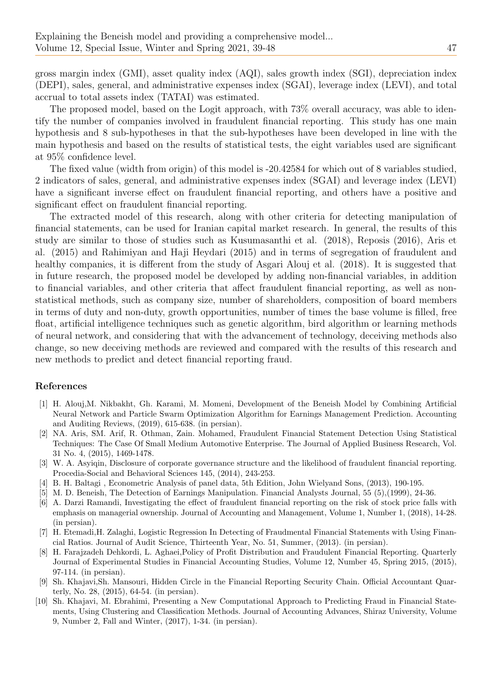gross margin index (GMI), asset quality index (AQI), sales growth index (SGI), depreciation index (DEPI), sales, general, and administrative expenses index (SGAI), leverage index (LEVI), and total accrual to total assets index (TATAI) was estimated.

The proposed model, based on the Logit approach, with 73% overall accuracy, was able to identify the number of companies involved in fraudulent financial reporting. This study has one main hypothesis and 8 sub-hypotheses in that the sub-hypotheses have been developed in line with the main hypothesis and based on the results of statistical tests, the eight variables used are significant at 95% confidence level.

The fixed value (width from origin) of this model is -20.42584 for which out of 8 variables studied, 2 indicators of sales, general, and administrative expenses index (SGAI) and leverage index (LEVI) have a significant inverse effect on fraudulent financial reporting, and others have a positive and significant effect on fraudulent financial reporting.

The extracted model of this research, along with other criteria for detecting manipulation of financial statements, can be used for Iranian capital market research. In general, the results of this study are similar to those of studies such as Kusumasanthi et al. (2018), Reposis (2016), Aris et al. (2015) and Rahimiyan and Haji Heydari (2015) and in terms of segregation of fraudulent and healthy companies, it is different from the study of Asgari Alouj et al. (2018). It is suggested that in future research, the proposed model be developed by adding non-financial variables, in addition to financial variables, and other criteria that affect fraudulent financial reporting, as well as nonstatistical methods, such as company size, number of shareholders, composition of board members in terms of duty and non-duty, growth opportunities, number of times the base volume is filled, free float, artificial intelligence techniques such as genetic algorithm, bird algorithm or learning methods of neural network, and considering that with the advancement of technology, deceiving methods also change, so new deceiving methods are reviewed and compared with the results of this research and new methods to predict and detect financial reporting fraud.

#### References

- [1] H. Alouj,M. Nikbakht, Gh. Karami, M. Momeni, Development of the Beneish Model by Combining Artificial Neural Network and Particle Swarm Optimization Algorithm for Earnings Management Prediction. Accounting and Auditing Reviews, (2019), 615-638. (in persian).
- [2] NA. Aris, SM. Arif, R. Othman, Zain. Mohamed, Fraudulent Financial Statement Detection Using Statistical Techniques: The Case Of Small Medium Automotive Enterprise. The Journal of Applied Business Research, Vol. 31 No. 4, (2015), 1469-1478.
- [3] W. A. Asyiqin, Disclosure of corporate governance structure and the likelihood of fraudulent financial reporting. Procedia-Social and Behavioral Sciences 145, (2014), 243-253.
- [4] B. H. Baltagi , Econometric Analysis of panel data, 5th Edition, John Wielyand Sons, (2013), 190-195.
- [5] M. D. Beneish, The Detection of Earnings Manipulation. Financial Analysts Journal, 55 (5),(1999), 24-36.
- [6] A. Darzi Ramandi, Investigating the effect of fraudulent financial reporting on the risk of stock price falls with emphasis on managerial ownership. Journal of Accounting and Management, Volume 1, Number 1, (2018), 14-28. (in persian).
- [7] H. Etemadi,H. Zalaghi, Logistic Regression In Detecting of Fraudmental Financial Statements with Using Financial Ratios. Journal of Audit Science, Thirteenth Year, No. 51, Summer, (2013). (in persian).
- [8] H. Farajzadeh Dehkordi, L. Aghaei,Policy of Profit Distribution and Fraudulent Financial Reporting. Quarterly Journal of Experimental Studies in Financial Accounting Studies, Volume 12, Number 45, Spring 2015, (2015), 97-114. (in persian).
- [9] Sh. Khajavi,Sh. Mansouri, Hidden Circle in the Financial Reporting Security Chain. Official Accountant Quarterly, No. 28, (2015), 64-54. (in persian).
- [10] Sh. Khajavi, M. Ebrahimi, Presenting a New Computational Approach to Predicting Fraud in Financial Statements, Using Clustering and Classification Methods. Journal of Accounting Advances, Shiraz University, Volume 9, Number 2, Fall and Winter, (2017), 1-34. (in persian).